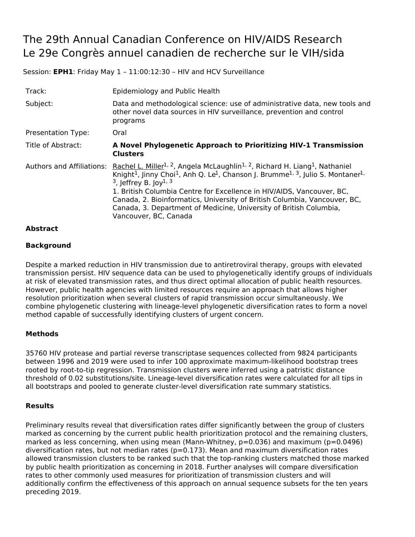# The 29th Annual Canadian Conference on HIV/AIDS Research Le 29e Congrès annuel canadien de recherche sur le VIH/sida

Session: **EPH1**: Friday May 1 – 11:00:12:30 – HIV and HCV Surveillance

| Track:                           | Epidemiology and Public Health                                                                                                                                                                                                                                                                                                                                                                                                                                                                                                                                |
|----------------------------------|---------------------------------------------------------------------------------------------------------------------------------------------------------------------------------------------------------------------------------------------------------------------------------------------------------------------------------------------------------------------------------------------------------------------------------------------------------------------------------------------------------------------------------------------------------------|
| Subject:                         | Data and methodological science: use of administrative data, new tools and<br>other novel data sources in HIV surveillance, prevention and control<br>programs                                                                                                                                                                                                                                                                                                                                                                                                |
| <b>Presentation Type:</b>        | Oral                                                                                                                                                                                                                                                                                                                                                                                                                                                                                                                                                          |
| Title of Abstract:               | A Novel Phylogenetic Approach to Prioritizing HIV-1 Transmission<br><b>Clusters</b>                                                                                                                                                                                                                                                                                                                                                                                                                                                                           |
| <b>Authors and Affiliations:</b> | Rachel L. Miller <sup>1, 2</sup> , Angela McLaughlin <sup>1, 2</sup> , Richard H. Liang <sup>1</sup> , Nathaniel<br>Knight <sup>1</sup> , Jinny Choi <sup>1</sup> , Anh Q. Le <sup>1</sup> , Chanson J. Brumme <sup>1, 3</sup> , Julio S. Montaner <sup>1,</sup><br>$3$ , leffrey B. lov <sup>1, 3</sup><br>1. British Columbia Centre for Excellence in HIV/AIDS, Vancouver, BC,<br>Canada, 2. Bioinformatics, University of British Columbia, Vancouver, BC,<br>Canada, 3. Department of Medicine, University of British Columbia,<br>Vancouver, BC, Canada |

### **Abstract**

## **Background**

Despite a marked reduction in HIV transmission due to antiretroviral therapy, groups with elevated transmission persist. HIV sequence data can be used to phylogenetically identify groups of individuals at risk of elevated transmission rates, and thus direct optimal allocation of public health resources. However, public health agencies with limited resources require an approach that allows higher resolution prioritization when several clusters of rapid transmission occur simultaneously. We combine phylogenetic clustering with lineage-level phylogenetic diversification rates to form a novel method capable of successfully identifying clusters of urgent concern.

### **Methods**

35760 HIV protease and partial reverse transcriptase sequences collected from 9824 participants between 1996 and 2019 were used to infer 100 approximate maximum-likelihood bootstrap trees rooted by root-to-tip regression. Transmission clusters were inferred using a patristic distance threshold of 0.02 substitutions/site. Lineage-level diversification rates were calculated for all tips in all bootstraps and pooled to generate cluster-level diversification rate summary statistics.

### **Results**

Preliminary results reveal that diversification rates differ significantly between the group of clusters marked as concerning by the current public health prioritization protocol and the remaining clusters, marked as less concerning, when using mean (Mann-Whitney, p=0.036) and maximum (p=0.0496) diversification rates, but not median rates ( $p=0.173$ ). Mean and maximum diversification rates allowed transmission clusters to be ranked such that the top-ranking clusters matched those marked by public health prioritization as concerning in 2018. Further analyses will compare diversification rates to other commonly used measures for prioritization of transmission clusters and will additionally confirm the effectiveness of this approach on annual sequence subsets for the ten years preceding 2019.